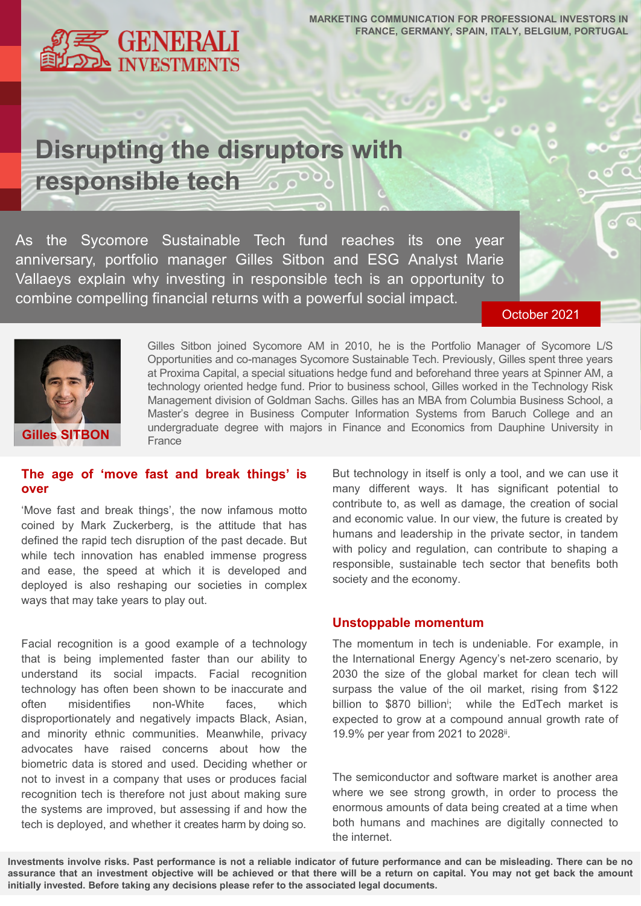**GENERALI**<br>INVESTMENTS

**MARKETING COMMUNICATION FOR PROFESSIONAL INVESTORS IN FRANCE, GERMANY, SPAIN, ITALY, BELGIUM, PORTUGAL**

# **Disrupting the disruptors with responsible tech** ్రాంగ్

As the Sycomore Sustainable Tech fund reaches its one year anniversary, portfolio manager Gilles Sitbon and ESG Analyst Marie Vallaeys explain why investing in responsible tech is an opportunity to combine compelling financial returns with a powerful social impact.

October 2021



Gilles Sitbon joined Sycomore AM in 2010, he is the Portfolio Manager of Sycomore L/S Opportunities and co-manages Sycomore Sustainable Tech. Previously, Gilles spent three years at Proxima Capital, a special situations hedge fund and beforehand three years at Spinner AM, a technology oriented hedge fund. Prior to business school, Gilles worked in the Technology Risk Management division of Goldman Sachs. Gilles has an MBA from Columbia Business School, a Master's degree in Business Computer Information Systems from Baruch College and an undergraduate degree with majors in Finance and Economics from Dauphine University in France

### **The age of 'move fast and break things' is over**

'Move fast and break things', the now infamous motto coined by Mark Zuckerberg, is the attitude that has defined the rapid tech disruption of the past decade. But while tech innovation has enabled immense progress and ease, the speed at which it is developed and deployed is also reshaping our societies in complex ways that may take years to play out.

Facial recognition is a good example of a technology that is being implemented faster than our ability to understand its social impacts. Facial recognition technology has often been shown to be inaccurate and often misidentifies non-White faces, which disproportionately and negatively impacts Black, Asian, and minority ethnic communities. Meanwhile, privacy advocates have raised concerns about how the biometric data is stored and used. Deciding whether or not to invest in a company that uses or produces facial recognition tech is therefore not just about making sure the systems are improved, but assessing if and how the tech is deployed, and whether it creates harm by doing so.

But technology in itself is only a tool, and we can use it many different ways. It has significant potential to contribute to, as well as damage, the creation of social and economic value. In our view, the future is created by humans and leadership in the private sector, in tandem with policy and regulation, can contribute to shaping a responsible, sustainable tech sector that benefits both society and the economy.

#### **Unstoppable momentum**

The momentum in tech is undeniable. For example, in the International Energy Agency's net-zero scenario, by 2030 the size of the global market for clean tech will surpass the value of the oil market, rising from \$122 billion to \$870 billion<sup>i</sup>; while the EdTech market is expected to grow at a compound annual growth rate of 19.9% per year from 2021 to 2028<sup>ii</sup>.

The semiconductor and software market is another area where we see strong growth, in order to process the enormous amounts of data being created at a time when both humans and machines are digitally connected to the internet.

Investments involve risks. Past performance is not a reliable indicator of future performance and can be misleading. There can be no assurance that an investment objective will be achieved or that there will be a return on capital. You may not get back the amount **initially invested. Before taking any decisions please refer to the associated legal documents.**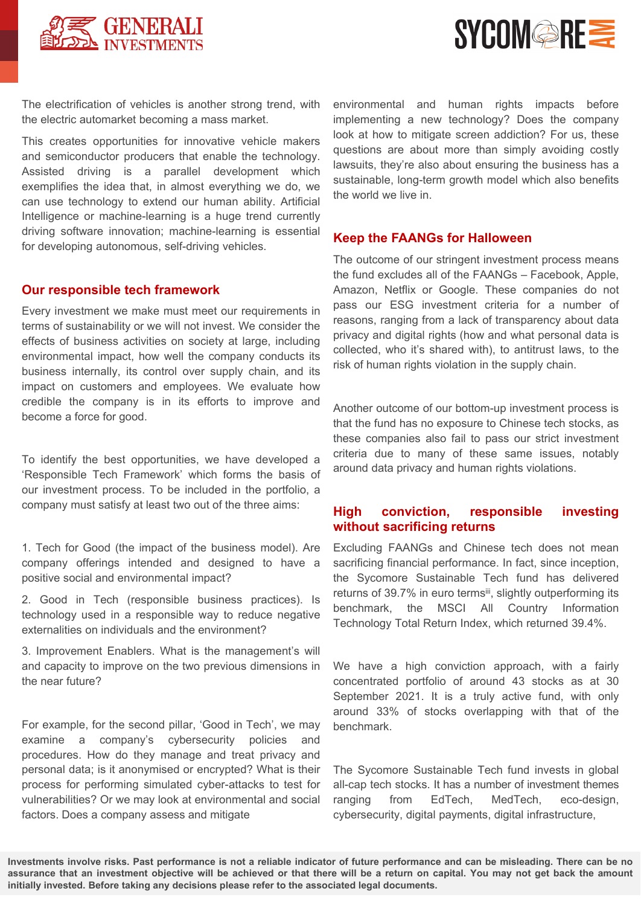



The electrification of vehicles is another strong trend, with the electric automarket becoming a mass market.

This creates opportunities for innovative vehicle makers and semiconductor producers that enable the technology. Assisted driving is a parallel development which exemplifies the idea that, in almost everything we do, we can use technology to extend our human ability. Artificial Intelligence or machine-learning is a huge trend currently driving software innovation; machine-learning is essential for developing autonomous, self-driving vehicles.

#### **Our responsible tech framework**

Every investment we make must meet our requirements in terms of sustainability or we will not invest. We consider the effects of business activities on society at large, including environmental impact, how well the company conducts its business internally, its control over supply chain, and its impact on customers and employees. We evaluate how credible the company is in its efforts to improve and become a force for good.

To identify the best opportunities, we have developed a 'Responsible Tech Framework' which forms the basis of our investment process. To be included in the portfolio, a company must satisfy at least two out of the three aims:

1. Tech for Good (the impact of the business model). Are company offerings intended and designed to have a positive social and environmental impact?

2. Good in Tech (responsible business practices). Is technology used in a responsible way to reduce negative externalities on individuals and the environment?

3. Improvement Enablers. What is the management's will and capacity to improve on the two previous dimensions in the near future?

For example, for the second pillar, 'Good in Tech', we may examine a company's cybersecurity policies and procedures. How do they manage and treat privacy and personal data; is it anonymised or encrypted? What is their process for performing simulated cyber-attacks to test for vulnerabilities? Or we may look at environmental and social factors. Does a company assess and mitigate

environmental and human rights impacts before implementing a new technology? Does the company look at how to mitigate screen addiction? For us, these questions are about more than simply avoiding costly lawsuits, they're also about ensuring the business has a sustainable, long-term growth model which also benefits the world we live in.

#### **Keep the FAANGs for Halloween**

The outcome of our stringent investment process means the fund excludes all of the FAANGs – Facebook, Apple, Amazon, Netflix or Google. These companies do not pass our ESG investment criteria for a number of reasons, ranging from a lack of transparency about data privacy and digital rights (how and what personal data is collected, who it's shared with), to antitrust laws, to the risk of human rights violation in the supply chain.

Another outcome of our bottom-up investment process is that the fund has no exposure to Chinese tech stocks, as these companies also fail to pass our strict investment criteria due to many of these same issues, notably around data privacy and human rights violations.

#### **High conviction, responsible investing without sacrificing returns**

Excluding FAANGs and Chinese tech does not mean sacrificing financial performance. In fact, since inception, the Sycomore Sustainable Tech fund has delivered returns of 39.7% in euro termsii, slightly outperforming its benchmark, the MSCI All Country Information Technology Total Return Index, which returned 39.4%.

We have a high conviction approach, with a fairly concentrated portfolio of around 43 stocks as at 30 September 2021. It is a truly active fund, with only around 33% of stocks overlapping with that of the benchmark.

The Sycomore Sustainable Tech fund invests in global all-cap tech stocks. It has a number of investment themes ranging from EdTech, MedTech, eco-design, cybersecurity, digital payments, digital infrastructure,

Investments involve risks. Past performance is not a reliable indicator of future performance and can be misleading. There can be no assurance that an investment objective will be achieved or that there will be a return on capital. You may not get back the amount **initially invested. Before taking any decisions please refer to the associated legal documents.**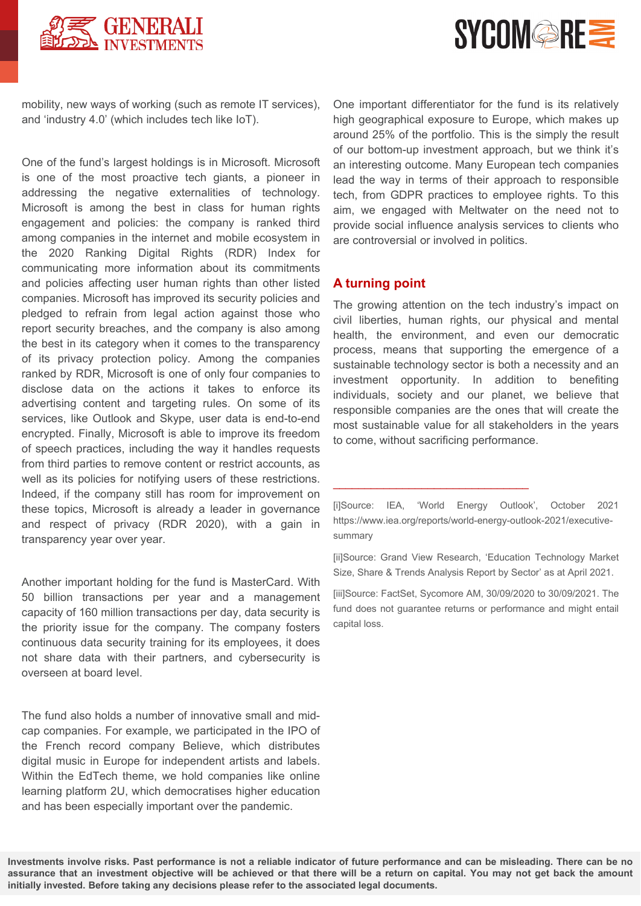



mobility, new ways of working (such as remote IT services), and 'industry 4.0' (which includes tech like IoT).

One of the fund's largest holdings is in Microsoft. Microsoft is one of the most proactive tech giants, a pioneer in addressing the negative externalities of technology. Microsoft is among the best in class for human rights engagement and policies: the company is ranked third among companies in the internet and mobile ecosystem in the 2020 Ranking Digital Rights (RDR) Index for communicating more information about its commitments and policies affecting user human rights than other listed companies. Microsoft has improved its security policies and pledged to refrain from legal action against those who report security breaches, and the company is also among the best in its category when it comes to the transparency of its privacy protection policy. Among the companies ranked by RDR, Microsoft is one of only four companies to disclose data on the actions it takes to enforce its advertising content and targeting rules. On some of its services, like Outlook and Skype, user data is end-to-end encrypted. Finally, Microsoft is able to improve its freedom of speech practices, including the way it handles requests from third parties to remove content or restrict accounts, as well as its policies for notifying users of these restrictions. Indeed, if the company still has room for improvement on these topics, Microsoft is already a leader in governance and respect of privacy (RDR 2020), with a gain in transparency year over year.

Another important holding for the fund is MasterCard. With 50 billion transactions per year and a management capacity of 160 million transactions per day, data security is the priority issue for the company. The company fosters continuous data security training for its employees, it does not share data with their partners, and cybersecurity is overseen at board level.

The fund also holds a number of innovative small and midcap companies. For example, we participated in the IPO of the French record company Believe, which distributes digital music in Europe for independent artists and labels. Within the EdTech theme, we hold companies like online learning platform 2U, which democratises higher education and has been especially important over the pandemic.

One important differentiator for the fund is its relatively high geographical exposure to Europe, which makes up around 25% of the portfolio. This is the simply the result of our bottom-up investment approach, but we think it's an interesting outcome. Many European tech companies lead the way in terms of their approach to responsible tech, from GDPR practices to employee rights. To this aim, we engaged with Meltwater on the need not to provide social influence analysis services to clients who are controversial or involved in politics.

#### **A turning point**

The growing attention on the tech industry's impact on civil liberties, human rights, our physical and mental health, the environment, and even our democratic process, means that supporting the emergence of a sustainable technology sector is both a necessity and an investment opportunity. In addition to benefiting individuals, society and our planet, we believe that responsible companies are the ones that will create the most sustainable value for all stakeholders in the years to come, without sacrificing performance.

\_\_\_\_\_\_\_\_\_\_\_\_\_\_\_\_\_\_\_\_\_\_\_\_\_\_\_\_\_\_\_

[ii]Source: Grand View Research, 'Education Technology Market Size, Share & Trends Analysis Report by Sector' as at April 2021.

[iii]Source: FactSet, Sycomore AM, 30/09/2020 to 30/09/2021. The fund does not guarantee returns or performance and might entail capital loss.

Investments involve risks. Past performance is not a reliable indicator of future performance and can be misleading. There can be no assurance that an investment objective will be achieved or that there will be a return on capital. You may not get back the amount **initially invested. Before taking any decisions please refer to the associated legal documents.**

<sup>[</sup>i]Source: IEA, 'World Energy Outlook', October 2021 https://www.iea.org/reports/world-energy-outlook-2021/executivesummary